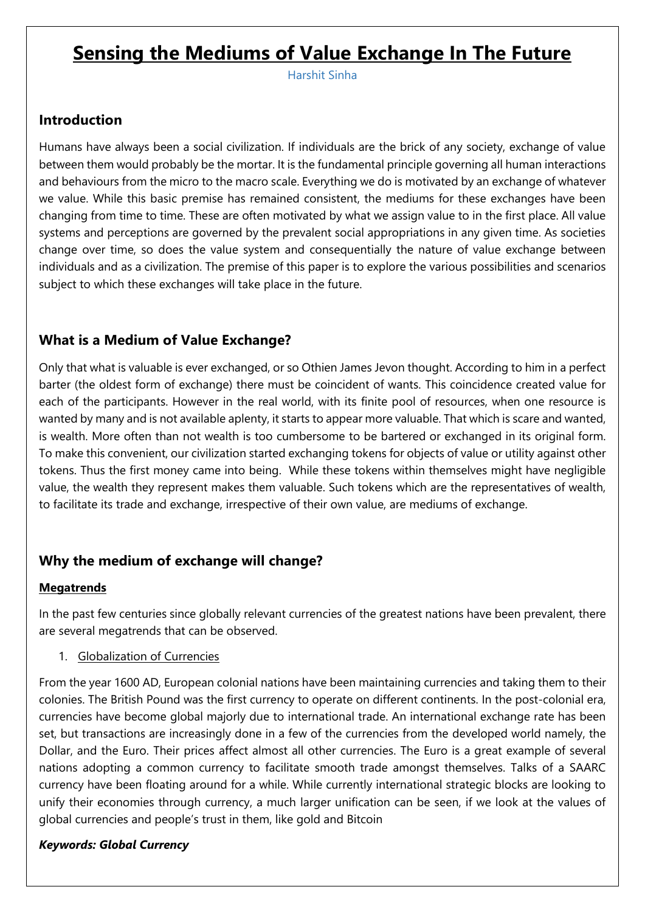# **Sensing the Mediums of Value Exchange In The Future**

Harshit Sinha

### **Introduction**

Humans have always been a social civilization. If individuals are the brick of any society, exchange of value between them would probably be the mortar. It is the fundamental principle governing all human interactions and behaviours from the micro to the macro scale. Everything we do is motivated by an exchange of whatever we value. While this basic premise has remained consistent, the mediums for these exchanges have been changing from time to time. These are often motivated by what we assign value to in the first place. All value systems and perceptions are governed by the prevalent social appropriations in any given time. As societies change over time, so does the value system and consequentially the nature of value exchange between individuals and as a civilization. The premise of this paper is to explore the various possibilities and scenarios subject to which these exchanges will take place in the future.

# **What is a Medium of Value Exchange?**

Only that what is valuable is ever exchanged, or so Othien James Jevon thought. According to him in a perfect barter (the oldest form of exchange) there must be coincident of wants. This coincidence created value for each of the participants. However in the real world, with its finite pool of resources, when one resource is wanted by many and is not available aplenty, it starts to appear more valuable. That which is scare and wanted, is wealth. More often than not wealth is too cumbersome to be bartered or exchanged in its original form. To make this convenient, our civilization started exchanging tokens for objects of value or utility against other tokens. Thus the first money came into being. While these tokens within themselves might have negligible value, the wealth they represent makes them valuable. Such tokens which are the representatives of wealth, to facilitate its trade and exchange, irrespective of their own value, are mediums of exchange.

# **Why the medium of exchange will change?**

#### **Megatrends**

In the past few centuries since globally relevant currencies of the greatest nations have been prevalent, there are several megatrends that can be observed.

#### 1. Globalization of Currencies

From the year 1600 AD, European colonial nations have been maintaining currencies and taking them to their colonies. The British Pound was the first currency to operate on different continents. In the post-colonial era, currencies have become global majorly due to international trade. An international exchange rate has been set, but transactions are increasingly done in a few of the currencies from the developed world namely, the Dollar, and the Euro. Their prices affect almost all other currencies. The Euro is a great example of several nations adopting a common currency to facilitate smooth trade amongst themselves. Talks of a SAARC currency have been floating around for a while. While currently international strategic blocks are looking to unify their economies through currency, a much larger unification can be seen, if we look at the values of global currencies and people's trust in them, like gold and Bitcoin

#### *Keywords: Global Currency*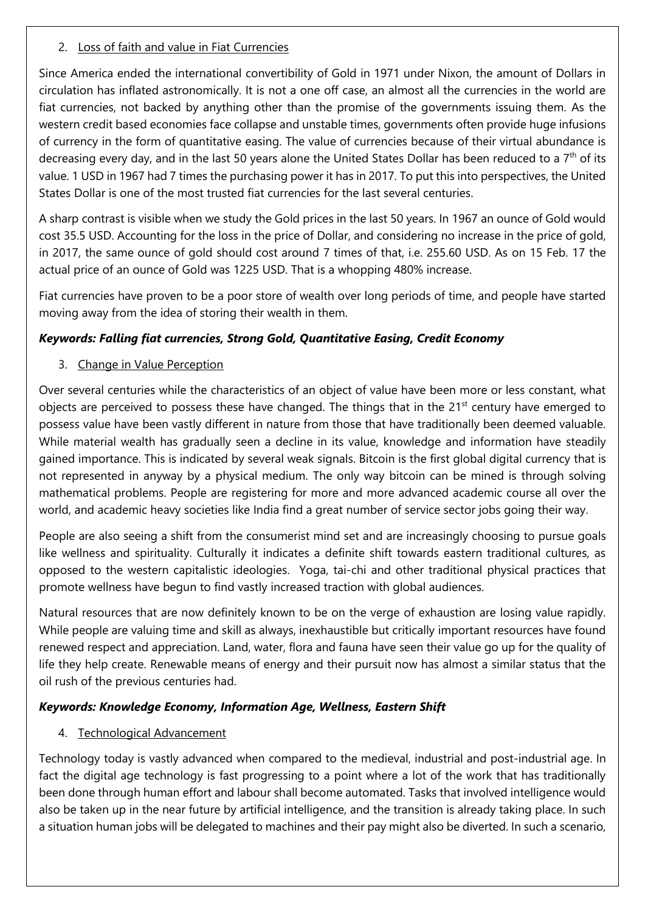#### 2. Loss of faith and value in Fiat Currencies

Since America ended the international convertibility of Gold in 1971 under Nixon, the amount of Dollars in circulation has inflated astronomically. It is not a one off case, an almost all the currencies in the world are fiat currencies, not backed by anything other than the promise of the governments issuing them. As the western credit based economies face collapse and unstable times, governments often provide huge infusions of currency in the form of quantitative easing. The value of currencies because of their virtual abundance is decreasing every day, and in the last 50 years alone the United States Dollar has been reduced to a  $7<sup>th</sup>$  of its value. 1 USD in 1967 had 7 times the purchasing power it has in 2017. To put this into perspectives, the United States Dollar is one of the most trusted fiat currencies for the last several centuries.

A sharp contrast is visible when we study the Gold prices in the last 50 years. In 1967 an ounce of Gold would cost 35.5 USD. Accounting for the loss in the price of Dollar, and considering no increase in the price of gold, in 2017, the same ounce of gold should cost around 7 times of that, i.e. 255.60 USD. As on 15 Feb. 17 the actual price of an ounce of Gold was 1225 USD. That is a whopping 480% increase.

Fiat currencies have proven to be a poor store of wealth over long periods of time, and people have started moving away from the idea of storing their wealth in them.

## *Keywords: Falling fiat currencies, Strong Gold, Quantitative Easing, Credit Economy*

#### 3. Change in Value Perception

Over several centuries while the characteristics of an object of value have been more or less constant, what objects are perceived to possess these have changed. The things that in the 21<sup>st</sup> century have emerged to possess value have been vastly different in nature from those that have traditionally been deemed valuable. While material wealth has gradually seen a decline in its value, knowledge and information have steadily gained importance. This is indicated by several weak signals. Bitcoin is the first global digital currency that is not represented in anyway by a physical medium. The only way bitcoin can be mined is through solving mathematical problems. People are registering for more and more advanced academic course all over the world, and academic heavy societies like India find a great number of service sector jobs going their way.

People are also seeing a shift from the consumerist mind set and are increasingly choosing to pursue goals like wellness and spirituality. Culturally it indicates a definite shift towards eastern traditional cultures, as opposed to the western capitalistic ideologies. Yoga, tai-chi and other traditional physical practices that promote wellness have begun to find vastly increased traction with global audiences.

Natural resources that are now definitely known to be on the verge of exhaustion are losing value rapidly. While people are valuing time and skill as always, inexhaustible but critically important resources have found renewed respect and appreciation. Land, water, flora and fauna have seen their value go up for the quality of life they help create. Renewable means of energy and their pursuit now has almost a similar status that the oil rush of the previous centuries had.

#### *Keywords: Knowledge Economy, Information Age, Wellness, Eastern Shift*

#### 4. Technological Advancement

Technology today is vastly advanced when compared to the medieval, industrial and post-industrial age. In fact the digital age technology is fast progressing to a point where a lot of the work that has traditionally been done through human effort and labour shall become automated. Tasks that involved intelligence would also be taken up in the near future by artificial intelligence, and the transition is already taking place. In such a situation human jobs will be delegated to machines and their pay might also be diverted. In such a scenario,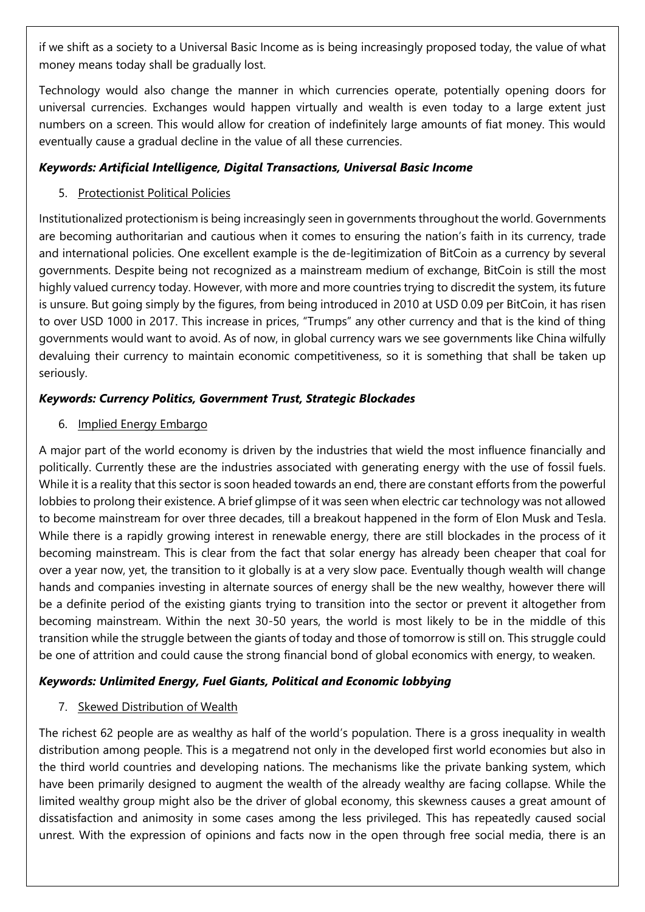if we shift as a society to a Universal Basic Income as is being increasingly proposed today, the value of what money means today shall be gradually lost.

Technology would also change the manner in which currencies operate, potentially opening doors for universal currencies. Exchanges would happen virtually and wealth is even today to a large extent just numbers on a screen. This would allow for creation of indefinitely large amounts of fiat money. This would eventually cause a gradual decline in the value of all these currencies.

### *Keywords: Artificial Intelligence, Digital Transactions, Universal Basic Income*

## 5. Protectionist Political Policies

Institutionalized protectionism is being increasingly seen in governments throughout the world. Governments are becoming authoritarian and cautious when it comes to ensuring the nation's faith in its currency, trade and international policies. One excellent example is the de-legitimization of BitCoin as a currency by several governments. Despite being not recognized as a mainstream medium of exchange, BitCoin is still the most highly valued currency today. However, with more and more countries trying to discredit the system, its future is unsure. But going simply by the figures, from being introduced in 2010 at USD 0.09 per BitCoin, it has risen to over USD 1000 in 2017. This increase in prices, "Trumps" any other currency and that is the kind of thing governments would want to avoid. As of now, in global currency wars we see governments like China wilfully devaluing their currency to maintain economic competitiveness, so it is something that shall be taken up seriously.

# *Keywords: Currency Politics, Government Trust, Strategic Blockades*

#### 6. Implied Energy Embargo

A major part of the world economy is driven by the industries that wield the most influence financially and politically. Currently these are the industries associated with generating energy with the use of fossil fuels. While it is a reality that this sector is soon headed towards an end, there are constant efforts from the powerful lobbies to prolong their existence. A brief glimpse of it was seen when electric car technology was not allowed to become mainstream for over three decades, till a breakout happened in the form of Elon Musk and Tesla. While there is a rapidly growing interest in renewable energy, there are still blockades in the process of it becoming mainstream. This is clear from the fact that solar energy has already been cheaper that coal for over a year now, yet, the transition to it globally is at a very slow pace. Eventually though wealth will change hands and companies investing in alternate sources of energy shall be the new wealthy, however there will be a definite period of the existing giants trying to transition into the sector or prevent it altogether from becoming mainstream. Within the next 30-50 years, the world is most likely to be in the middle of this transition while the struggle between the giants of today and those of tomorrow is still on. This struggle could be one of attrition and could cause the strong financial bond of global economics with energy, to weaken.

# *Keywords: Unlimited Energy, Fuel Giants, Political and Economic lobbying*

# 7. Skewed Distribution of Wealth

The richest 62 people are as wealthy as half of the world's population. There is a gross inequality in wealth distribution among people. This is a megatrend not only in the developed first world economies but also in the third world countries and developing nations. The mechanisms like the private banking system, which have been primarily designed to augment the wealth of the already wealthy are facing collapse. While the limited wealthy group might also be the driver of global economy, this skewness causes a great amount of dissatisfaction and animosity in some cases among the less privileged. This has repeatedly caused social unrest. With the expression of opinions and facts now in the open through free social media, there is an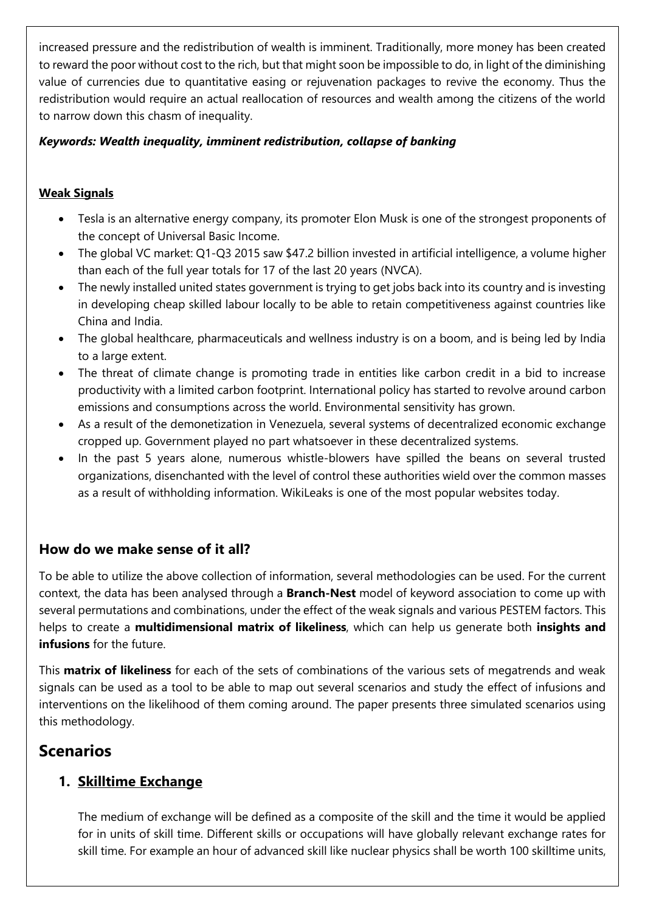increased pressure and the redistribution of wealth is imminent. Traditionally, more money has been created to reward the poor without cost to the rich, but that might soon be impossible to do, in light of the diminishing value of currencies due to quantitative easing or rejuvenation packages to revive the economy. Thus the redistribution would require an actual reallocation of resources and wealth among the citizens of the world to narrow down this chasm of inequality.

### *Keywords: Wealth inequality, imminent redistribution, collapse of banking*

## **Weak Signals**

- Tesla is an alternative energy company, its promoter Elon Musk is one of the strongest proponents of the concept of Universal Basic Income.
- The global VC market: Q1-Q3 2015 saw \$47.2 billion invested in artificial intelligence, a volume higher than each of the full year totals for 17 of the last 20 years (NVCA).
- The newly installed united states government is trying to get jobs back into its country and is investing in developing cheap skilled labour locally to be able to retain competitiveness against countries like China and India.
- The global healthcare, pharmaceuticals and wellness industry is on a boom, and is being led by India to a large extent.
- The threat of climate change is promoting trade in entities like carbon credit in a bid to increase productivity with a limited carbon footprint. International policy has started to revolve around carbon emissions and consumptions across the world. Environmental sensitivity has grown.
- As a result of the demonetization in Venezuela, several systems of decentralized economic exchange cropped up. Government played no part whatsoever in these decentralized systems.
- In the past 5 years alone, numerous whistle-blowers have spilled the beans on several trusted organizations, disenchanted with the level of control these authorities wield over the common masses as a result of withholding information. WikiLeaks is one of the most popular websites today.

# **How do we make sense of it all?**

To be able to utilize the above collection of information, several methodologies can be used. For the current context, the data has been analysed through a **Branch-Nest** model of keyword association to come up with several permutations and combinations, under the effect of the weak signals and various PESTEM factors. This helps to create a **multidimensional matrix of likeliness**, which can help us generate both **insights and infusions** for the future.

This **matrix of likeliness** for each of the sets of combinations of the various sets of megatrends and weak signals can be used as a tool to be able to map out several scenarios and study the effect of infusions and interventions on the likelihood of them coming around. The paper presents three simulated scenarios using this methodology.

# **Scenarios**

# **1. Skilltime Exchange**

The medium of exchange will be defined as a composite of the skill and the time it would be applied for in units of skill time. Different skills or occupations will have globally relevant exchange rates for skill time. For example an hour of advanced skill like nuclear physics shall be worth 100 skilltime units,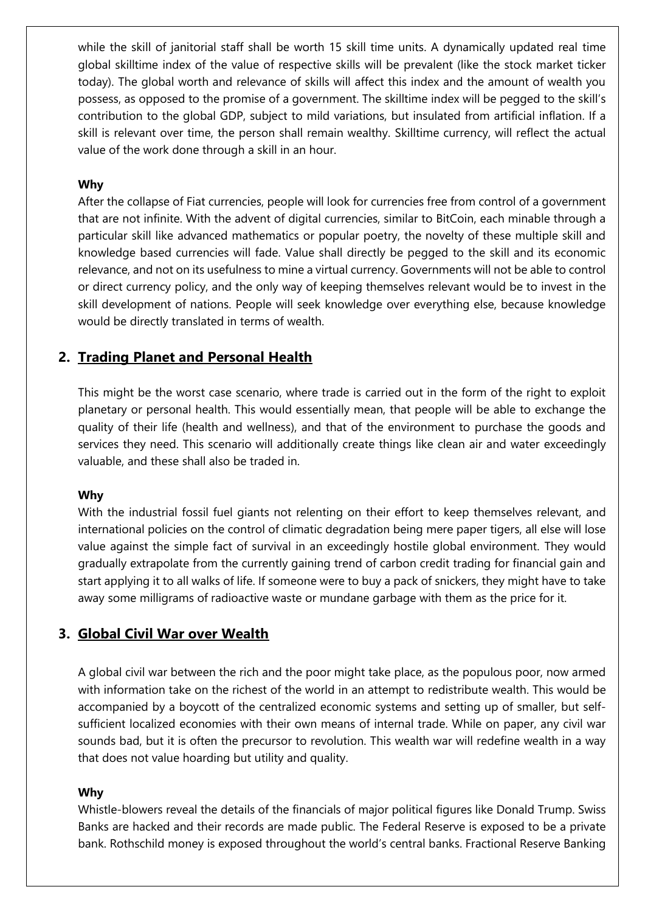while the skill of janitorial staff shall be worth 15 skill time units. A dynamically updated real time global skilltime index of the value of respective skills will be prevalent (like the stock market ticker today). The global worth and relevance of skills will affect this index and the amount of wealth you possess, as opposed to the promise of a government. The skilltime index will be pegged to the skill's contribution to the global GDP, subject to mild variations, but insulated from artificial inflation. If a skill is relevant over time, the person shall remain wealthy. Skilltime currency, will reflect the actual value of the work done through a skill in an hour.

#### **Why**

After the collapse of Fiat currencies, people will look for currencies free from control of a government that are not infinite. With the advent of digital currencies, similar to BitCoin, each minable through a particular skill like advanced mathematics or popular poetry, the novelty of these multiple skill and knowledge based currencies will fade. Value shall directly be pegged to the skill and its economic relevance, and not on its usefulness to mine a virtual currency. Governments will not be able to control or direct currency policy, and the only way of keeping themselves relevant would be to invest in the skill development of nations. People will seek knowledge over everything else, because knowledge would be directly translated in terms of wealth.

## **2. Trading Planet and Personal Health**

This might be the worst case scenario, where trade is carried out in the form of the right to exploit planetary or personal health. This would essentially mean, that people will be able to exchange the quality of their life (health and wellness), and that of the environment to purchase the goods and services they need. This scenario will additionally create things like clean air and water exceedingly valuable, and these shall also be traded in.

#### **Why**

With the industrial fossil fuel giants not relenting on their effort to keep themselves relevant, and international policies on the control of climatic degradation being mere paper tigers, all else will lose value against the simple fact of survival in an exceedingly hostile global environment. They would gradually extrapolate from the currently gaining trend of carbon credit trading for financial gain and start applying it to all walks of life. If someone were to buy a pack of snickers, they might have to take away some milligrams of radioactive waste or mundane garbage with them as the price for it.

#### **3. Global Civil War over Wealth**

A global civil war between the rich and the poor might take place, as the populous poor, now armed with information take on the richest of the world in an attempt to redistribute wealth. This would be accompanied by a boycott of the centralized economic systems and setting up of smaller, but selfsufficient localized economies with their own means of internal trade. While on paper, any civil war sounds bad, but it is often the precursor to revolution. This wealth war will redefine wealth in a way that does not value hoarding but utility and quality.

#### **Why**

Whistle-blowers reveal the details of the financials of major political figures like Donald Trump. Swiss Banks are hacked and their records are made public. The Federal Reserve is exposed to be a private bank. Rothschild money is exposed throughout the world's central banks. Fractional Reserve Banking